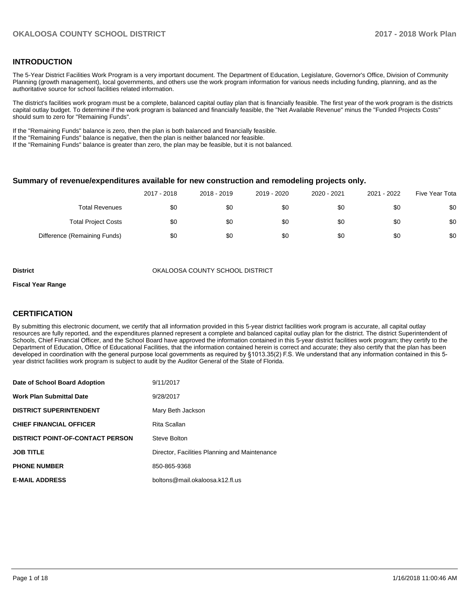#### **INTRODUCTION**

The 5-Year District Facilities Work Program is a very important document. The Department of Education, Legislature, Governor's Office, Division of Community Planning (growth management), local governments, and others use the work program information for various needs including funding, planning, and as the authoritative source for school facilities related information.

The district's facilities work program must be a complete, balanced capital outlay plan that is financially feasible. The first year of the work program is the districts capital outlay budget. To determine if the work program is balanced and financially feasible, the "Net Available Revenue" minus the "Funded Projects Costs" should sum to zero for "Remaining Funds".

If the "Remaining Funds" balance is zero, then the plan is both balanced and financially feasible.

If the "Remaining Funds" balance is negative, then the plan is neither balanced nor feasible.

If the "Remaining Funds" balance is greater than zero, the plan may be feasible, but it is not balanced.

#### **Summary of revenue/expenditures available for new construction and remodeling projects only.**

|                              | 2017 - 2018 | 2018 - 2019 | 2019 - 2020 | 2020 - 2021 | 2021 - 2022 | Five Year Tota |
|------------------------------|-------------|-------------|-------------|-------------|-------------|----------------|
| <b>Total Revenues</b>        | \$0         | \$0         | \$0         | \$0         | \$0         | \$0            |
| <b>Total Project Costs</b>   | \$0         | \$0         | \$0         | \$0         | \$0         | \$0            |
| Difference (Remaining Funds) | \$0         | \$0         | \$0         | \$0         | \$0         | \$0            |

**District COUNTY SCHOOL DISTRICT** OKALOOSA COUNTY SCHOOL DISTRICT

#### **Fiscal Year Range**

### **CERTIFICATION**

By submitting this electronic document, we certify that all information provided in this 5-year district facilities work program is accurate, all capital outlay resources are fully reported, and the expenditures planned represent a complete and balanced capital outlay plan for the district. The district Superintendent of Schools, Chief Financial Officer, and the School Board have approved the information contained in this 5-year district facilities work program; they certify to the Department of Education, Office of Educational Facilities, that the information contained herein is correct and accurate; they also certify that the plan has been developed in coordination with the general purpose local governments as required by §1013.35(2) F.S. We understand that any information contained in this 5year district facilities work program is subject to audit by the Auditor General of the State of Florida.

| Date of School Board Adoption           | 9/11/2017                                     |
|-----------------------------------------|-----------------------------------------------|
| <b>Work Plan Submittal Date</b>         | 9/28/2017                                     |
| <b>DISTRICT SUPERINTENDENT</b>          | Mary Beth Jackson                             |
| <b>CHIEF FINANCIAL OFFICER</b>          | Rita Scallan                                  |
| <b>DISTRICT POINT-OF-CONTACT PERSON</b> | Steve Bolton                                  |
| <b>JOB TITLE</b>                        | Director, Facilities Planning and Maintenance |
| <b>PHONE NUMBER</b>                     | 850-865-9368                                  |
| <b>E-MAIL ADDRESS</b>                   | boltons@mail.okaloosa.k12.fl.us               |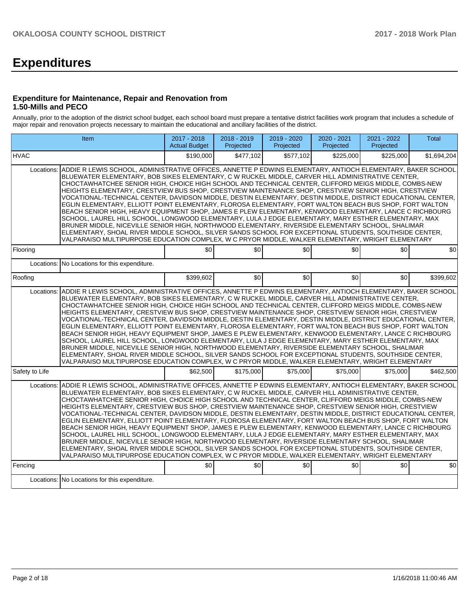# **Expenditures**

#### **Expenditure for Maintenance, Repair and Renovation from 1.50-Mills and PECO**

Annually, prior to the adoption of the district school budget, each school board must prepare a tentative district facilities work program that includes a schedule of major repair and renovation projects necessary to maintain the educational and ancillary facilities of the district.

|                                                                                                                                                                                                                                                                                                                                                                                                                                                                                                                                                                                                                                                                                                                                                                                                                                                                                                                                                                                                                                                                                                                                                                                                                   | Item                                                                                                                                                                                                                                                                                                                                                                                                                                                                                                                                                                                                                                                                                                                                                                                                                                                                                                                                                                                                                                                                                                                                                                                                | 2017 - 2018<br><b>Actual Budget</b> | 2018 - 2019<br>Projected | 2019 - 2020<br>Projected | 2020 - 2021<br>Projected | 2021 - 2022<br>Projected | <b>Total</b> |  |  |  |
|-------------------------------------------------------------------------------------------------------------------------------------------------------------------------------------------------------------------------------------------------------------------------------------------------------------------------------------------------------------------------------------------------------------------------------------------------------------------------------------------------------------------------------------------------------------------------------------------------------------------------------------------------------------------------------------------------------------------------------------------------------------------------------------------------------------------------------------------------------------------------------------------------------------------------------------------------------------------------------------------------------------------------------------------------------------------------------------------------------------------------------------------------------------------------------------------------------------------|-----------------------------------------------------------------------------------------------------------------------------------------------------------------------------------------------------------------------------------------------------------------------------------------------------------------------------------------------------------------------------------------------------------------------------------------------------------------------------------------------------------------------------------------------------------------------------------------------------------------------------------------------------------------------------------------------------------------------------------------------------------------------------------------------------------------------------------------------------------------------------------------------------------------------------------------------------------------------------------------------------------------------------------------------------------------------------------------------------------------------------------------------------------------------------------------------------|-------------------------------------|--------------------------|--------------------------|--------------------------|--------------------------|--------------|--|--|--|
| <b>HVAC</b>                                                                                                                                                                                                                                                                                                                                                                                                                                                                                                                                                                                                                                                                                                                                                                                                                                                                                                                                                                                                                                                                                                                                                                                                       |                                                                                                                                                                                                                                                                                                                                                                                                                                                                                                                                                                                                                                                                                                                                                                                                                                                                                                                                                                                                                                                                                                                                                                                                     | \$190,000                           | \$477,102                | \$577,102                | \$225,000                | \$225,000                | \$1,694,204  |  |  |  |
| ADDIE R LEWIS SCHOOL, ADMINISTRATIVE OFFICES, ANNETTE P EDWINS ELEMENTARY, ANTIOCH ELEMENTARY, BAKER SCHOOL<br>Locations:<br>BLUEWATER ELEMENTARY, BOB SIKES ELEMENTARY, C W RUCKEL MIDDLE, CARVER HILL ADMINISTRATIVE CENTER,<br>CHOCTAWHATCHEE SENIOR HIGH, CHOICE HIGH SCHOOL AND TECHNICAL CENTER, CLIFFORD MEIGS MIDDLE, COMBS-NEW<br>HEIGHTS ELEMENTARY, CRESTVIEW BUS SHOP, CRESTVIEW MAINTENANCE SHOP, CRESTVIEW SENIOR HIGH, CRESTVIEW<br>VOCATIONAL-TECHNICAL CENTER. DAVIDSON MIDDLE. DESTIN ELEMENTARY. DESTIN MIDDLE. DISTRICT EDUCATIONAL CENTER.<br>EGLIN ELEMENTARY, ELLIOTT POINT ELEMENTARY, FLOROSA ELEMENTARY, FORT WALTON BEACH BUS SHOP, FORT WALTON<br>BEACH SENIOR HIGH, HEAVY EQUIPMENT SHOP, JAMES E PLEW ELEMENTARY, KENWOOD ELEMENTARY, LANCE C RICHBOURG<br>SCHOOL, LAUREL HILL SCHOOL, LONGWOOD ELEMENTARY, LULA J EDGE ELEMENTARY, MARY ESTHER ELEMENTARY, MAX<br>BRUNER MIDDLE, NICEVILLE SENIOR HIGH, NORTHWOOD ELEMENTARY, RIVERSIDE ELEMENTARY SCHOOL, SHALIMAR<br>ELEMENTARY, SHOAL RIVER MIDDLE SCHOOL, SILVER SANDS SCHOOL FOR EXCEPTIONAL STUDENTS, SOUTHSIDE CENTER,<br>VALPARAISO MULTIPURPOSE EDUCATION COMPLEX, W C PRYOR MIDDLE, WALKER ELEMENTARY, WRIGHT ELEMENTARY |                                                                                                                                                                                                                                                                                                                                                                                                                                                                                                                                                                                                                                                                                                                                                                                                                                                                                                                                                                                                                                                                                                                                                                                                     |                                     |                          |                          |                          |                          |              |  |  |  |
| Flooring                                                                                                                                                                                                                                                                                                                                                                                                                                                                                                                                                                                                                                                                                                                                                                                                                                                                                                                                                                                                                                                                                                                                                                                                          |                                                                                                                                                                                                                                                                                                                                                                                                                                                                                                                                                                                                                                                                                                                                                                                                                                                                                                                                                                                                                                                                                                                                                                                                     | \$0                                 | \$0                      | \$0                      | \$0                      | \$0                      | \$0          |  |  |  |
| Locations:                                                                                                                                                                                                                                                                                                                                                                                                                                                                                                                                                                                                                                                                                                                                                                                                                                                                                                                                                                                                                                                                                                                                                                                                        | No Locations for this expenditure.                                                                                                                                                                                                                                                                                                                                                                                                                                                                                                                                                                                                                                                                                                                                                                                                                                                                                                                                                                                                                                                                                                                                                                  |                                     |                          |                          |                          |                          |              |  |  |  |
| Roofing                                                                                                                                                                                                                                                                                                                                                                                                                                                                                                                                                                                                                                                                                                                                                                                                                                                                                                                                                                                                                                                                                                                                                                                                           |                                                                                                                                                                                                                                                                                                                                                                                                                                                                                                                                                                                                                                                                                                                                                                                                                                                                                                                                                                                                                                                                                                                                                                                                     | \$399,602                           | \$0                      | \$0                      | \$0                      | \$0                      | \$399,602    |  |  |  |
| Locations:                                                                                                                                                                                                                                                                                                                                                                                                                                                                                                                                                                                                                                                                                                                                                                                                                                                                                                                                                                                                                                                                                                                                                                                                        | ADDIE R LEWIS SCHOOL, ADMINISTRATIVE OFFICES, ANNETTE P EDWINS ELEMENTARY, ANTIOCH ELEMENTARY, BAKER SCHOOL<br>BLUEWATER ELEMENTARY, BOB SIKES ELEMENTARY, C W RUCKEL MIDDLE, CARVER HILL ADMINISTRATIVE CENTER,<br>CHOCTAWHATCHEE SENIOR HIGH, CHOICE HIGH SCHOOL AND TECHNICAL CENTER, CLIFFORD MEIGS MIDDLE, COMBS-NEW<br>HEIGHTS ELEMENTARY, CRESTVIEW BUS SHOP, CRESTVIEW MAINTENANCE SHOP, CRESTVIEW SENIOR HIGH, CRESTVIEW<br>VOCATIONAL-TECHNICAL CENTER, DAVIDSON MIDDLE, DESTIN ELEMENTARY, DESTIN MIDDLE, DISTRICT EDUCATIONAL CENTER,<br>EGLIN ELEMENTARY, ELLIOTT POINT ELEMENTARY, FLOROSA ELEMENTARY, FORT WALTON BEACH BUS SHOP, FORT WALTON<br>BEACH SENIOR HIGH, HEAVY EQUIPMENT SHOP, JAMES E PLEW ELEMENTARY, KENWOOD ELEMENTARY, LANCE C RICHBOURG<br>SCHOOL, LAUREL HILL SCHOOL, LONGWOOD ELEMENTARY, LULA J EDGE ELEMENTARY, MARY ESTHER ELEMENTARY, MAX<br>BRUNER MIDDLE, NICEVILLE SENIOR HIGH, NORTHWOOD ELEMENTARY, RIVERSIDE ELEMENTARY SCHOOL, SHALIMAR<br>ELEMENTARY, SHOAL RIVER MIDDLE SCHOOL, SILVER SANDS SCHOOL FOR EXCEPTIONAL STUDENTS, SOUTHSIDE CENTER,<br>VALPARAISO MULTIPURPOSE EDUCATION COMPLEX. W C PRYOR MIDDLE, WALKER ELEMENTARY, WRIGHT ELEMENTARY |                                     |                          |                          |                          |                          |              |  |  |  |
| Safety to Life                                                                                                                                                                                                                                                                                                                                                                                                                                                                                                                                                                                                                                                                                                                                                                                                                                                                                                                                                                                                                                                                                                                                                                                                    |                                                                                                                                                                                                                                                                                                                                                                                                                                                                                                                                                                                                                                                                                                                                                                                                                                                                                                                                                                                                                                                                                                                                                                                                     | \$62,500                            | \$175,000                | \$75,000                 | \$75,000                 | \$75,000                 | \$462,500    |  |  |  |
| Locations:                                                                                                                                                                                                                                                                                                                                                                                                                                                                                                                                                                                                                                                                                                                                                                                                                                                                                                                                                                                                                                                                                                                                                                                                        | ADDIE R LEWIS SCHOOL, ADMINISTRATIVE OFFICES, ANNETTE P EDWINS ELEMENTARY, ANTIOCH ELEMENTARY, BAKER SCHOOL<br>BLUEWATER ELEMENTARY, BOB SIKES ELEMENTARY, C W RUCKEL MIDDLE, CARVER HILL ADMINISTRATIVE CENTER,<br>CHOCTAWHATCHEE SENIOR HIGH, CHOICE HIGH SCHOOL AND TECHNICAL CENTER, CLIFFORD MEIGS MIDDLE, COMBS-NEW<br>HEIGHTS ELEMENTARY, CRESTVIEW BUS SHOP, CRESTVIEW MAINTENANCE SHOP, CRESTVIEW SENIOR HIGH, CRESTVIEW<br>VOCATIONAL-TECHNICAL CENTER, DAVIDSON MIDDLE, DESTIN ELEMENTARY, DESTIN MIDDLE, DISTRICT EDUCATIONAL CENTER,<br>EGLIN ELEMENTARY, ELLIOTT POINT ELEMENTARY, FLOROSA ELEMENTARY, FORT WALTON BEACH BUS SHOP, FORT WALTON<br>BEACH SENIOR HIGH, HEAVY EQUIPMENT SHOP, JAMES E PLEW ELEMENTARY, KENWOOD ELEMENTARY, LANCE C RICHBOURG<br>SCHOOL, LAUREL HILL SCHOOL, LONGWOOD ELEMENTARY, LULA J EDGE ELEMENTARY, MARY ESTHER ELEMENTARY, MAX<br>BRUNER MIDDLE, NICEVILLE SENIOR HIGH, NORTHWOOD ELEMENTARY, RIVERSIDE ELEMENTARY SCHOOL, SHALIMAR<br>ELEMENTARY, SHOAL RIVER MIDDLE SCHOOL, SILVER SANDS SCHOOL FOR EXCEPTIONAL STUDENTS, SOUTHSIDE CENTER,<br>VALPARAISO MULTIPURPOSE EDUCATION COMPLEX, W C PRYOR MIDDLE, WALKER ELEMENTARY, WRIGHT ELEMENTARY |                                     |                          |                          |                          |                          |              |  |  |  |
| Fencing                                                                                                                                                                                                                                                                                                                                                                                                                                                                                                                                                                                                                                                                                                                                                                                                                                                                                                                                                                                                                                                                                                                                                                                                           |                                                                                                                                                                                                                                                                                                                                                                                                                                                                                                                                                                                                                                                                                                                                                                                                                                                                                                                                                                                                                                                                                                                                                                                                     | \$0                                 | \$0                      | \$0                      | \$0                      | \$0                      | \$0          |  |  |  |
|                                                                                                                                                                                                                                                                                                                                                                                                                                                                                                                                                                                                                                                                                                                                                                                                                                                                                                                                                                                                                                                                                                                                                                                                                   | Locations: No Locations for this expenditure.                                                                                                                                                                                                                                                                                                                                                                                                                                                                                                                                                                                                                                                                                                                                                                                                                                                                                                                                                                                                                                                                                                                                                       |                                     |                          |                          |                          |                          |              |  |  |  |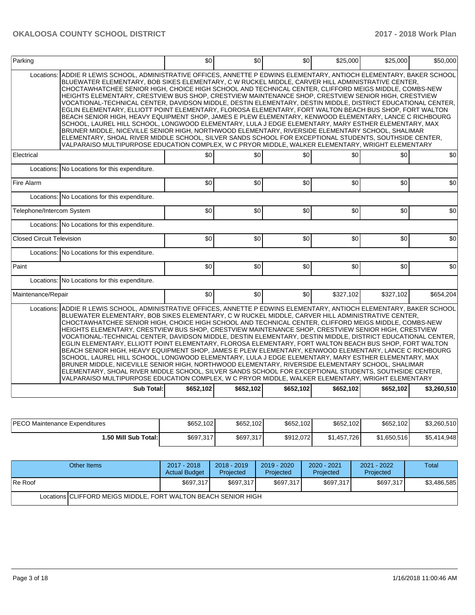| Parking                                                                                                                                                                                                                                                                                                                                                                                                                                                                                                                                                                                                                                                                                                                                                                                                                                                                                                                                                                                                                                                                                                                                                                                                                                                                                                             | \$0 | \$0 | \$0 | \$25,000  | \$25,000  | \$50,000  |  |  |  |
|---------------------------------------------------------------------------------------------------------------------------------------------------------------------------------------------------------------------------------------------------------------------------------------------------------------------------------------------------------------------------------------------------------------------------------------------------------------------------------------------------------------------------------------------------------------------------------------------------------------------------------------------------------------------------------------------------------------------------------------------------------------------------------------------------------------------------------------------------------------------------------------------------------------------------------------------------------------------------------------------------------------------------------------------------------------------------------------------------------------------------------------------------------------------------------------------------------------------------------------------------------------------------------------------------------------------|-----|-----|-----|-----------|-----------|-----------|--|--|--|
| ADDIE R LEWIS SCHOOL, ADMINISTRATIVE OFFICES, ANNETTE P EDWINS ELEMENTARY, ANTIOCH ELEMENTARY, BAKER SCHOOL<br>Locations:<br>BLUEWATER ELEMENTARY, BOB SIKES ELEMENTARY, C W RUCKEL MIDDLE, CARVER HILL ADMINISTRATIVE CENTER,<br>CHOCTAWHATCHEE SENIOR HIGH, CHOICE HIGH SCHOOL AND TECHNICAL CENTER, CLIFFORD MEIGS MIDDLE, COMBS-NEW<br>HEIGHTS ELEMENTARY, CRESTVIEW BUS SHOP, CRESTVIEW MAINTENANCE SHOP, CRESTVIEW SENIOR HIGH, CRESTVIEW<br>VOCATIONAL-TECHNICAL CENTER, DAVIDSON MIDDLE, DESTIN ELEMENTARY, DESTIN MIDDLE, DISTRICT EDUCATIONAL CENTER,<br>EGLIN ELEMENTARY, ELLIOTT POINT ELEMENTARY, FLOROSA ELEMENTARY, FORT WALTON BEACH BUS SHOP, FORT WALTON<br>BEACH SENIOR HIGH, HEAVY EQUIPMENT SHOP, JAMES E PLEW ELEMENTARY, KENWOOD ELEMENTARY, LANCE C RICHBOURG<br>SCHOOL, LAUREL HILL SCHOOL, LONGWOOD ELEMENTARY, LULA J EDGE ELEMENTARY, MARY ESTHER ELEMENTARY, MAX<br>BRUNER MIDDLE, NICEVILLE SENIOR HIGH, NORTHWOOD ELEMENTARY, RIVERSIDE ELEMENTARY SCHOOL, SHALIMAR<br>ELEMENTARY, SHOAL RIVER MIDDLE SCHOOL, SILVER SANDS SCHOOL FOR EXCEPTIONAL STUDENTS, SOUTHSIDE CENTER,<br>VALPARAISO MULTIPURPOSE EDUCATION COMPLEX, W C PRYOR MIDDLE, WALKER ELEMENTARY, WRIGHT ELEMENTARY                                                                                                   |     |     |     |           |           |           |  |  |  |
| Electrical                                                                                                                                                                                                                                                                                                                                                                                                                                                                                                                                                                                                                                                                                                                                                                                                                                                                                                                                                                                                                                                                                                                                                                                                                                                                                                          | \$0 | \$0 | \$0 | \$0       | \$0       | \$0       |  |  |  |
| Locations: No Locations for this expenditure.                                                                                                                                                                                                                                                                                                                                                                                                                                                                                                                                                                                                                                                                                                                                                                                                                                                                                                                                                                                                                                                                                                                                                                                                                                                                       |     |     |     |           |           |           |  |  |  |
| Fire Alarm                                                                                                                                                                                                                                                                                                                                                                                                                                                                                                                                                                                                                                                                                                                                                                                                                                                                                                                                                                                                                                                                                                                                                                                                                                                                                                          | \$0 | \$0 | \$0 | \$0       | \$0       | \$0       |  |  |  |
| Locations: No Locations for this expenditure.                                                                                                                                                                                                                                                                                                                                                                                                                                                                                                                                                                                                                                                                                                                                                                                                                                                                                                                                                                                                                                                                                                                                                                                                                                                                       |     |     |     |           |           |           |  |  |  |
| Telephone/Intercom System                                                                                                                                                                                                                                                                                                                                                                                                                                                                                                                                                                                                                                                                                                                                                                                                                                                                                                                                                                                                                                                                                                                                                                                                                                                                                           | \$0 | \$0 | \$0 | \$0       | \$0       | \$0       |  |  |  |
| Locations: No Locations for this expenditure.                                                                                                                                                                                                                                                                                                                                                                                                                                                                                                                                                                                                                                                                                                                                                                                                                                                                                                                                                                                                                                                                                                                                                                                                                                                                       |     |     |     |           |           |           |  |  |  |
| Closed Circuit Television                                                                                                                                                                                                                                                                                                                                                                                                                                                                                                                                                                                                                                                                                                                                                                                                                                                                                                                                                                                                                                                                                                                                                                                                                                                                                           | \$0 | \$0 | \$0 | \$0       | \$0       | \$0       |  |  |  |
| Locations: No Locations for this expenditure.                                                                                                                                                                                                                                                                                                                                                                                                                                                                                                                                                                                                                                                                                                                                                                                                                                                                                                                                                                                                                                                                                                                                                                                                                                                                       |     |     |     |           |           |           |  |  |  |
| Paint                                                                                                                                                                                                                                                                                                                                                                                                                                                                                                                                                                                                                                                                                                                                                                                                                                                                                                                                                                                                                                                                                                                                                                                                                                                                                                               | \$0 | \$0 | \$0 | \$0       | \$0       | \$0       |  |  |  |
| Locations: No Locations for this expenditure.                                                                                                                                                                                                                                                                                                                                                                                                                                                                                                                                                                                                                                                                                                                                                                                                                                                                                                                                                                                                                                                                                                                                                                                                                                                                       |     |     |     |           |           |           |  |  |  |
| Maintenance/Repair                                                                                                                                                                                                                                                                                                                                                                                                                                                                                                                                                                                                                                                                                                                                                                                                                                                                                                                                                                                                                                                                                                                                                                                                                                                                                                  | \$0 | \$0 | \$0 | \$327,102 | \$327,102 | \$654,204 |  |  |  |
| Locations: ADDIE R LEWIS SCHOOL, ADMINISTRATIVE OFFICES, ANNETTE P EDWINS ELEMENTARY, ANTIOCH ELEMENTARY, BAKER SCHOOL<br>BLUEWATER ELEMENTARY, BOB SIKES ELEMENTARY, C W RUCKEL MIDDLE, CARVER HILL ADMINISTRATIVE CENTER,<br>CHOCTAWHATCHEE SENIOR HIGH, CHOICE HIGH SCHOOL AND TECHNICAL CENTER, CLIFFORD MEIGS MIDDLE, COMBS-NEW<br>HEIGHTS ELEMENTARY, CRESTVIEW BUS SHOP, CRESTVIEW MAINTENANCE SHOP, CRESTVIEW SENIOR HIGH, CRESTVIEW<br>VOCATIONAL-TECHNICAL CENTER, DAVIDSON MIDDLE, DESTIN ELEMENTARY, DESTIN MIDDLE, DISTRICT EDUCATIONAL CENTER,<br>EGLIN ELEMENTARY, ELLIOTT POINT ELEMENTARY, FLOROSA ELEMENTARY, FORT WALTON BEACH BUS SHOP, FORT WALTON<br>BEACH SENIOR HIGH, HEAVY EQUIPMENT SHOP, JAMES E PLEW ELEMENTARY, KENWOOD ELEMENTARY, LANCE C RICHBOURG<br>SCHOOL, LAUREL HILL SCHOOL, LONGWOOD ELEMENTARY, LULA J EDGE ELEMENTARY, MARY ESTHER ELEMENTARY, MAX<br>BRUNER MIDDLE, NICEVILLE SENIOR HIGH, NORTHWOOD ELEMENTARY, RIVERSIDE ELEMENTARY SCHOOL, SHALIMAR<br>ELEMENTARY, SHOAL RIVER MIDDLE SCHOOL, SILVER SANDS SCHOOL FOR EXCEPTIONAL STUDENTS, SOUTHSIDE CENTER,<br>VALPARAISO MULTIPURPOSE EDUCATION COMPLEX, W C PRYOR MIDDLE, WALKER ELEMENTARY, WRIGHT ELEMENTARY<br>\$652,102<br>\$652,102<br><b>Sub Total:</b><br>\$652,102<br>\$652,102<br>\$652,102<br>\$3,260,510 |     |     |     |           |           |           |  |  |  |

| <b>IPECO Maintenance Expenditures</b> | \$652,102 | \$652,102 | \$652,102] | \$652,102   | \$652,102   | \$3,260,510 |
|---------------------------------------|-----------|-----------|------------|-------------|-------------|-------------|
| I.50 Mill Sub Total: I                | \$697,317 | \$697,317 | \$912,072  | \$1,457,726 | \$1.650.516 | \$5,414,948 |

| Other Items                                                    | $2017 - 2018$<br><b>Actual Budget</b> | $2018 - 2019$<br>Projected | $2019 - 2020$<br><b>Projected</b> | 2020 - 2021<br>Projected | 2021 - 2022<br>Projected | <b>Total</b> |  |  |  |
|----------------------------------------------------------------|---------------------------------------|----------------------------|-----------------------------------|--------------------------|--------------------------|--------------|--|--|--|
| <b>IRe Roof</b>                                                | \$697,317                             | \$697.317                  | \$697.317                         | \$697.317                | \$697.317                | \$3,486,585  |  |  |  |
| Locations CLIFFORD MEIGS MIDDLE, FORT WALTON BEACH SENIOR HIGH |                                       |                            |                                   |                          |                          |              |  |  |  |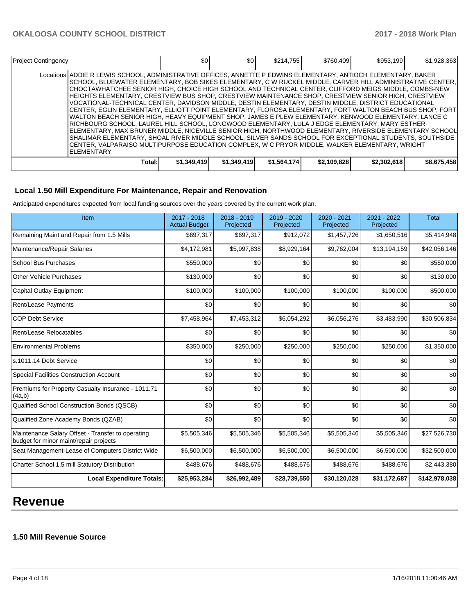| <b>Project Contingency</b>                                                                                                                                                                                                                                                                                                                                                                                                                                                                                                                                                                                                                                                                                                                                                                                                                                                                                                                                                                                                                                                                                                                                                                                                     | \$0         | \$0         | \$214.755   | \$760,409   | \$953.199   | \$1,928,363 |
|--------------------------------------------------------------------------------------------------------------------------------------------------------------------------------------------------------------------------------------------------------------------------------------------------------------------------------------------------------------------------------------------------------------------------------------------------------------------------------------------------------------------------------------------------------------------------------------------------------------------------------------------------------------------------------------------------------------------------------------------------------------------------------------------------------------------------------------------------------------------------------------------------------------------------------------------------------------------------------------------------------------------------------------------------------------------------------------------------------------------------------------------------------------------------------------------------------------------------------|-------------|-------------|-------------|-------------|-------------|-------------|
| Locations ADDIE R LEWIS SCHOOL, ADMINISTRATIVE OFFICES, ANNETTE P EDWINS ELEMENTARY, ANTIOCH ELEMENTARY, BAKER<br>ISCHOOL. BLUEWATER ELEMENTARY. BOB SIKES ELEMENTARY. C W RUCKEL MIDDLE. CARVER HILL ADMINISTRATIVE CENTER.<br>CHOCTAWHATCHEE SENIOR HIGH. CHOICE HIGH SCHOOL AND TECHNICAL CENTER. CLIFFORD MEIGS MIDDLE. COMBS-NEW<br>HEIGHTS ELEMENTARY. CRESTVIEW BUS SHOP. CRESTVIEW MAINTENANCE SHOP. CRESTVIEW SENIOR HIGH. CRESTVIEW<br>VOCATIONAL-TECHNICAL CENTER. DAVIDSON MIDDLE. DESTIN ELEMENTARY. DESTIN MIDDLE. DISTRICT EDUCATIONAL<br>İCENTER. EGLIN ELEMENTARY. ELLIOTT POINT ELEMENTARY. FLOROSA ELEMENTARY. FORT WALTON BEACH BUS SHOP. FORT<br>WALTON BEACH SENIOR HIGH. HEAVY EQUIPMENT SHOP. JAMES E PLEW ELEMENTARY. KENWOOD ELEMENTARY. LANCE C<br>IRICHBOURG SCHOOL. LAUREL HILL SCHOOL. LONGWOOD ELEMENTARY. LULA J EDGE ELEMENTARY. MARY ESTHER<br>IELEMENTARY. MAX BRUNER MIDDLE. NICEVILLE SENIOR HIGH. NORTHWOOD ELEMENTARY. RIVERSIDE ELEMENTARY SCHOOL<br>ISHALIMAR ELEMENTARY. SHOAL RIVER MIDDLE SCHOOL. SILVER SANDS SCHOOL FOR EXCEPTIONAL STUDENTS. SOUTHSIDE<br>ICENTER. VALPARAISO MULTIPURPOSE EDUCATION COMPLEX. W C PRYOR MIDDLE. WALKER ELEMENTARY. WRIGHT<br><b>IELEMENTARY</b> |             |             |             |             |             |             |
| Total:                                                                                                                                                                                                                                                                                                                                                                                                                                                                                                                                                                                                                                                                                                                                                                                                                                                                                                                                                                                                                                                                                                                                                                                                                         | \$1,349,419 | \$1,349,419 | \$1,564,174 | \$2,109,828 | \$2,302,618 | \$8,675,458 |

### **Local 1.50 Mill Expenditure For Maintenance, Repair and Renovation**

Anticipated expenditures expected from local funding sources over the years covered by the current work plan.

| Item                                                                                        | 2017 - 2018<br><b>Actual Budget</b> | 2018 - 2019<br>Projected | 2019 - 2020<br>Projected | 2020 - 2021<br>Projected | 2021 - 2022<br>Projected | <b>Total</b>  |
|---------------------------------------------------------------------------------------------|-------------------------------------|--------------------------|--------------------------|--------------------------|--------------------------|---------------|
| Remaining Maint and Repair from 1.5 Mills                                                   | \$697,317                           | \$697,317                | \$912,072                | \$1,457,726              | \$1,650,516              | \$5,414,948   |
| Maintenance/Repair Salaries                                                                 | \$4,172,981                         | \$5,997,838              | \$8,929,164              | \$9,762,004              | \$13,194,159             | \$42,056,146  |
| <b>School Bus Purchases</b>                                                                 | \$550,000                           | \$0                      | \$0                      | \$0                      | \$0                      | \$550,000     |
| <b>Other Vehicle Purchases</b>                                                              | \$130,000                           | \$0                      | \$0                      | \$0                      | \$0                      | \$130,000     |
| <b>Capital Outlay Equipment</b>                                                             | \$100,000                           | \$100,000                | \$100,000                | \$100,000                | \$100,000                | \$500,000     |
| Rent/Lease Payments                                                                         | \$0                                 | \$0                      | \$0                      | \$0                      | \$0                      | \$0           |
| <b>COP Debt Service</b>                                                                     | \$7,458,964                         | \$7,453,312              | \$6,054,292              | \$6,056,276              | \$3,483,990              | \$30,506,834  |
| Rent/Lease Relocatables                                                                     | \$0                                 | \$0                      | \$0                      | \$0                      | \$0                      | \$0           |
| <b>Environmental Problems</b>                                                               | \$350,000                           | \$250,000                | \$250,000                | \$250,000                | \$250,000                | \$1,350,000   |
| s.1011.14 Debt Service                                                                      | \$0                                 | \$0                      | \$0                      | \$0                      | \$0                      | \$0           |
| Special Facilities Construction Account                                                     | \$0                                 | \$0                      | \$0                      | \$0                      | \$0                      | \$0           |
| Premiums for Property Casualty Insurance - 1011.71<br>(4a,b)                                | \$0                                 | \$0                      | \$0                      | \$0                      | \$0                      | \$0           |
| Qualified School Construction Bonds (QSCB)                                                  | \$0                                 | \$0                      | \$0                      | \$0                      | \$0                      | \$0           |
| Qualified Zone Academy Bonds (QZAB)                                                         | \$0                                 | \$0                      | \$0                      | \$0                      | \$0                      | \$0           |
| Maintenance Salary Offset - Transfer to operating<br>budget for minor maint/repair projects | \$5,505,346                         | \$5,505,346              | \$5,505,346              | \$5,505,346              | \$5,505,346              | \$27,526,730  |
| Seat Management-Lease of Computers District Wide                                            | \$6,500,000                         | \$6,500,000              | \$6,500,000              | \$6,500,000              | \$6,500,000              | \$32,500,000  |
| Charter School 1.5 mill Statutory Distribution                                              | \$488,676                           | \$488,676                | \$488,676                | \$488,676                | \$488,676                | \$2,443,380   |
| <b>Local Expenditure Totals:</b>                                                            | \$25,953,284                        | \$26,992,489             | \$28,739,550             | \$30,120,028             | \$31,172,687             | \$142,978,038 |

## **Revenue**

#### **1.50 Mill Revenue Source**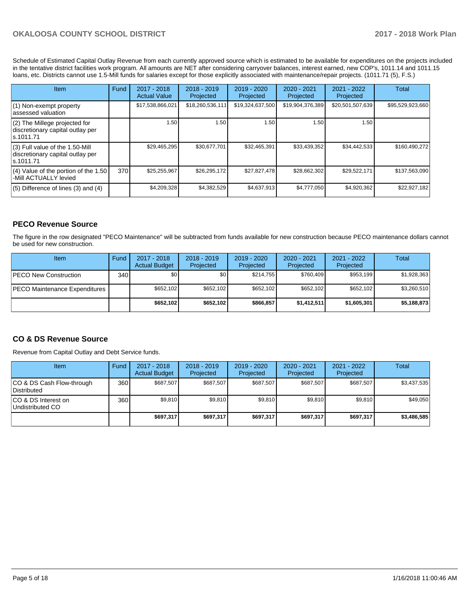Schedule of Estimated Capital Outlay Revenue from each currently approved source which is estimated to be available for expenditures on the projects included in the tentative district facilities work program. All amounts are NET after considering carryover balances, interest earned, new COP's, 1011.14 and 1011.15 loans, etc. Districts cannot use 1.5-Mill funds for salaries except for those explicitly associated with maintenance/repair projects. (1011.71 (5), F.S.)

| Item                                                                                | Fund | $2017 - 2018$<br><b>Actual Value</b> | $2018 - 2019$<br>Projected | $2019 - 2020$<br>Projected | $2020 - 2021$<br>Projected | 2021 - 2022<br>Projected | <b>Total</b>     |
|-------------------------------------------------------------------------------------|------|--------------------------------------|----------------------------|----------------------------|----------------------------|--------------------------|------------------|
| (1) Non-exempt property<br>lassessed valuation                                      |      | \$17,538,866,021                     | \$18,260,536,111           | \$19,324,637,500           | \$19,904,376,389           | \$20,501,507,639         | \$95,529,923,660 |
| $(2)$ The Millege projected for<br>discretionary capital outlay per<br>ls.1011.71   |      | 1.50                                 | 1.50                       | 1.50                       | 1.50                       | 1.50                     |                  |
| $(3)$ Full value of the 1.50-Mill<br>discretionary capital outlay per<br>ls.1011.71 |      | \$29,465,295                         | \$30.677.701               | \$32,465,391               | \$33,439,352               | \$34,442,533             | \$160.490.272    |
| $(4)$ Value of the portion of the 1.50<br>-Mill ACTUALLY levied                     | 370  | \$25,255,967                         | \$26,295,172               | \$27,827,478               | \$28.662.302               | \$29,522,171             | \$137,563,090    |
| $(5)$ Difference of lines (3) and (4)                                               |      | \$4,209,328                          | \$4,382,529                | \$4,637,913                | \$4,777,050                | \$4,920,362              | \$22,927,182     |

#### **PECO Revenue Source**

The figure in the row designated "PECO Maintenance" will be subtracted from funds available for new construction because PECO maintenance dollars cannot be used for new construction.

| Item                                 | Fund | 2017 - 2018<br><b>Actual Budget</b> | $2018 - 2019$<br>Projected | $2019 - 2020$<br>Projected | $2020 - 2021$<br>Projected | 2021 - 2022<br>Projected | Total       |
|--------------------------------------|------|-------------------------------------|----------------------------|----------------------------|----------------------------|--------------------------|-------------|
| <b>IPECO New Construction</b>        | 340  | \$0                                 | \$٥١                       | \$214.755                  | \$760.409                  | \$953.199                | \$1,928,363 |
| <b>PECO Maintenance Expenditures</b> |      | \$652,102                           | \$652,102                  | \$652.102                  | \$652.102                  | \$652.102                | \$3,260,510 |
|                                      |      | \$652,102                           | \$652,102                  | \$866.857                  | \$1,412,511                | \$1,605,301              | \$5,188,873 |

#### **CO & DS Revenue Source**

Revenue from Capital Outlay and Debt Service funds.

| Item                                      | Fund  | $2017 - 2018$<br><b>Actual Budget</b> | $2018 - 2019$<br>Projected | 2019 - 2020<br>Projected | $2020 - 2021$<br>Projected | 2021 - 2022<br>Projected | Total       |
|-------------------------------------------|-------|---------------------------------------|----------------------------|--------------------------|----------------------------|--------------------------|-------------|
| ICO & DS Cash Flow-through<br>Distributed | 360 l | \$687.507                             | \$687.507                  | \$687.507                | \$687.507                  | \$687.507                | \$3,437,535 |
| ICO & DS Interest on<br>Undistributed CO  | 360   | \$9,810                               | \$9,810                    | \$9,810                  | \$9,810                    | \$9,810                  | \$49,050    |
|                                           |       | \$697,317                             | \$697,317                  | \$697,317                | \$697.317                  | \$697.317                | \$3,486,585 |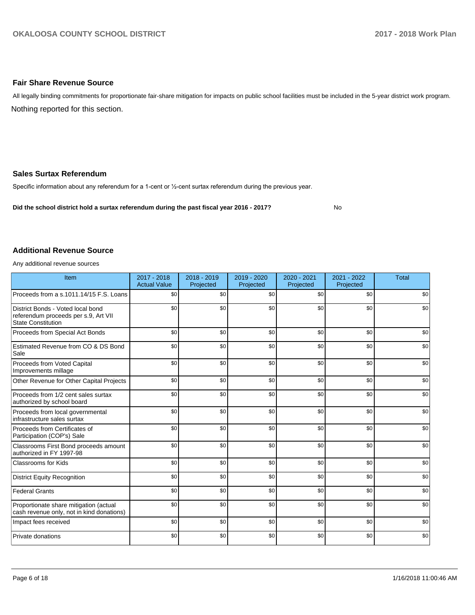#### **Fair Share Revenue Source**

Nothing reported for this section. All legally binding commitments for proportionate fair-share mitigation for impacts on public school facilities must be included in the 5-year district work program.

#### **Sales Surtax Referendum**

Specific information about any referendum for a 1-cent or 1/2-cent surtax referendum during the previous year.

**Did the school district hold a surtax referendum during the past fiscal year 2016 - 2017?**

No

#### **Additional Revenue Source**

Any additional revenue sources

| Item                                                                                                   | 2017 - 2018<br><b>Actual Value</b> | 2018 - 2019<br>Projected | 2019 - 2020<br>Projected | 2020 - 2021<br>Projected | 2021 - 2022<br>Projected | <b>Total</b> |
|--------------------------------------------------------------------------------------------------------|------------------------------------|--------------------------|--------------------------|--------------------------|--------------------------|--------------|
| Proceeds from a s.1011.14/15 F.S. Loans                                                                | \$0                                | \$0                      | \$0                      | \$0                      | \$0                      | \$0          |
| District Bonds - Voted local bond<br>referendum proceeds per s.9, Art VII<br><b>State Constitution</b> | \$0                                | \$0                      | \$0                      | \$0                      | \$0                      | \$0          |
| Proceeds from Special Act Bonds                                                                        | \$0                                | \$0                      | \$0                      | \$0                      | \$0                      | \$0          |
| Estimated Revenue from CO & DS Bond<br>Sale                                                            | \$0                                | \$0                      | \$0                      | \$0                      | \$0                      | \$0          |
| Proceeds from Voted Capital<br>Improvements millage                                                    | \$0                                | \$0                      | \$0                      | \$0                      | \$0                      | \$0          |
| Other Revenue for Other Capital Projects                                                               | \$0                                | \$0                      | \$0                      | \$0                      | \$0                      | \$0          |
| Proceeds from 1/2 cent sales surtax<br>authorized by school board                                      | \$0                                | \$0                      | \$0                      | \$0                      | \$0                      | \$0          |
| Proceeds from local governmental<br>infrastructure sales surtax                                        | \$0                                | \$0                      | \$0                      | \$0                      | \$0                      | \$0          |
| Proceeds from Certificates of<br>Participation (COP's) Sale                                            | \$0                                | \$0                      | \$0                      | \$0                      | \$0                      | \$0          |
| Classrooms First Bond proceeds amount<br>authorized in FY 1997-98                                      | \$0                                | \$0                      | \$0                      | \$0                      | \$0                      | \$0          |
| <b>Classrooms for Kids</b>                                                                             | \$0                                | \$0                      | \$0                      | \$0                      | \$0                      | \$0          |
| <b>District Equity Recognition</b>                                                                     | \$0                                | \$0                      | \$0                      | \$0                      | \$0                      | \$0          |
| <b>Federal Grants</b>                                                                                  | \$0                                | \$0                      | \$0                      | \$0                      | \$0                      | \$0          |
| Proportionate share mitigation (actual<br>cash revenue only, not in kind donations)                    | \$0                                | \$0                      | \$0                      | \$0                      | \$0                      | \$0          |
| Impact fees received                                                                                   | \$0                                | \$0                      | \$0                      | \$0                      | \$0                      | \$0          |
| Private donations                                                                                      | \$0                                | \$0                      | \$0                      | \$0                      | \$0                      | \$0          |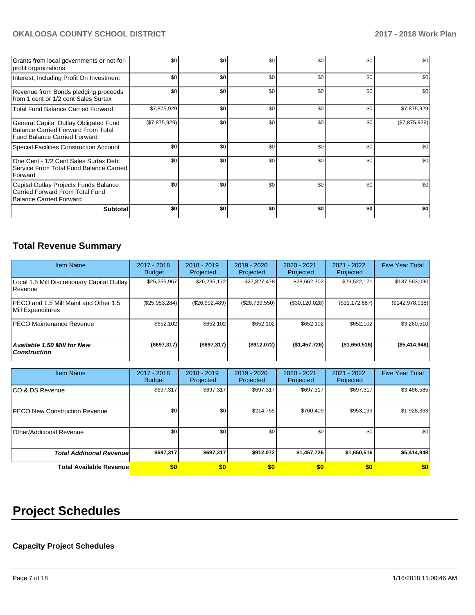| Grants from local governments or not-for-<br>profit organizations                                                         | \$0           | \$0              | \$0 | \$0 | \$0 | \$0           |
|---------------------------------------------------------------------------------------------------------------------------|---------------|------------------|-----|-----|-----|---------------|
| Interest, Including Profit On Investment                                                                                  | \$0           | \$0 <sub>1</sub> | \$0 | \$0 | \$0 | \$0           |
| Revenue from Bonds pledging proceeds<br>from 1 cent or 1/2 cent Sales Surtax                                              | \$0           | \$0 <sub>1</sub> | \$0 | \$0 | \$0 | \$0           |
| <b>Total Fund Balance Carried Forward</b>                                                                                 | \$7,875,929   | \$0 <sub>1</sub> | \$0 | \$0 | \$0 | \$7,875,929   |
| General Capital Outlay Obligated Fund<br><b>Balance Carried Forward From Total</b><br><b>Fund Balance Carried Forward</b> | (\$7,875,929) | \$0              | \$0 | \$0 | \$0 | (\$7,875,929) |
| Special Facilities Construction Account                                                                                   | \$0           | \$0              | \$0 | \$0 | \$0 | \$0           |
| One Cent - 1/2 Cent Sales Surtax Debt<br>Service From Total Fund Balance Carried<br>Forward                               | \$0           | \$0              | \$0 | \$0 | \$0 | \$0           |
| Capital Outlay Projects Funds Balance<br>Carried Forward From Total Fund<br>Balance Carried Forward                       | \$0           | \$0              | \$0 | \$0 | \$0 | \$0           |
| <b>Subtotal</b>                                                                                                           | \$0           | \$0              | \$0 | \$0 | \$0 | \$0           |

## **Total Revenue Summary**

| <b>Item Name</b>                                           | 2017 - 2018<br><b>Budget</b> | $2018 - 2019$<br>Projected | 2019 - 2020<br>Projected | 2020 - 2021<br>Projected | 2021 - 2022<br>Projected | <b>Five Year Total</b> |
|------------------------------------------------------------|------------------------------|----------------------------|--------------------------|--------------------------|--------------------------|------------------------|
| Local 1.5 Mill Discretionary Capital Outlay<br>Revenue     | \$25,255,967                 | \$26,295,172               | \$27,827,478             | \$28,662,302             | \$29,522,171             | \$137,563,090          |
| PECO and 1.5 Mill Maint and Other 1.5<br>Mill Expenditures | (\$25,953,284)               | (\$26,992,489)             | (\$28,739,550)           | (\$30,120,028)           | (S31, 172, 687)          | (\$142,978,038)        |
| <b>PECO Maintenance Revenue</b>                            | \$652.102                    | \$652,102                  | \$652.102                | \$652.102                | \$652,102                | \$3,260,510            |
| Available 1.50 Mill for New<br><b>Construction</b>         | $($ \$697,317)               | (\$697,317)                | (\$912,072)              | (\$1,457,726)            | (\$1,650,516)            | ( \$5,414,948)         |

| <b>Item Name</b>                      | $2017 - 2018$<br><b>Budget</b> | $2018 - 2019$<br>Projected | 2019 - 2020<br>Projected | $2020 - 2021$<br>Projected | 2021 - 2022<br>Projected | <b>Five Year Total</b> |
|---------------------------------------|--------------------------------|----------------------------|--------------------------|----------------------------|--------------------------|------------------------|
| ICO & DS Revenue                      | \$697,317                      | \$697,317                  | \$697,317                | \$697,317                  | \$697,317                | \$3,486,585            |
| <b>IPECO New Construction Revenue</b> | \$0                            | \$0                        | \$214,755                | \$760,409                  | \$953,199                | \$1,928,363            |
| Other/Additional Revenue              | \$0                            | \$0                        | \$0                      | \$0                        | \$0                      | \$0                    |
| <b>Total Additional Revenuel</b>      | \$697,317                      | \$697,317                  | \$912,072                | \$1,457,726                | \$1,650,516              | \$5,414,948            |
| <b>Total Available Revenue</b>        | \$0                            | \$0                        | \$0                      | \$0                        | \$0                      | \$0                    |

# **Project Schedules**

## **Capacity Project Schedules**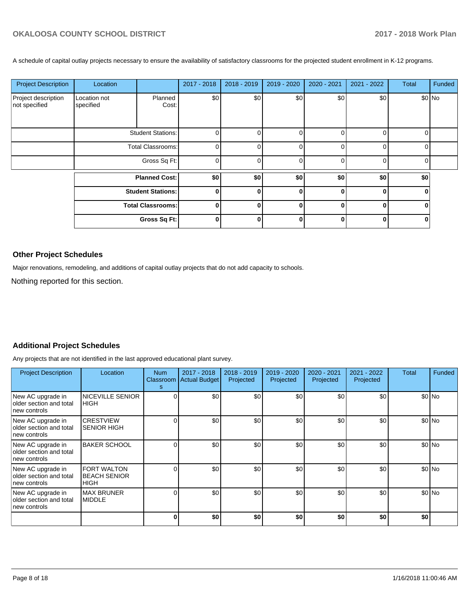A schedule of capital outlay projects necessary to ensure the availability of satisfactory classrooms for the projected student enrollment in K-12 programs.

| <b>Project Description</b>           | Location                  |                          | 2017 - 2018    | $2018 - 2019$ | 2019 - 2020 | $2020 - 2021$ | 2021 - 2022  | <b>Total</b> | Funded |
|--------------------------------------|---------------------------|--------------------------|----------------|---------------|-------------|---------------|--------------|--------------|--------|
| Project description<br>not specified | Location not<br>specified | Planned<br>Cost:         | \$0            | \$0           | \$0         | \$0           | \$0          |              | \$0 No |
|                                      |                           | <b>Student Stations:</b> | $\Omega$       |               | $\Omega$    |               | O            | U            |        |
|                                      | <b>Total Classrooms:</b>  |                          | $\Omega$       |               | $\Omega$    |               | <sup>0</sup> | U            |        |
|                                      |                           | Gross Sq Ft:             | $\overline{0}$ | $\Omega$      | $\Omega$    |               | 0            | $\Omega$     |        |
|                                      |                           | <b>Planned Cost:</b>     | \$0            | \$0           | \$0         | \$0           | \$0          | \$0          |        |
|                                      | <b>Student Stations:</b>  |                          | 0 I            |               | 0           |               | O            | 0            |        |
|                                      |                           | <b>Total Classrooms:</b> | $\mathbf{0}$   |               | $\bf{0}$    |               | 0            |              |        |
|                                      |                           | Gross Sq Ft:             | $\bf{0}$       |               |             |               | ŋ            |              |        |

#### **Other Project Schedules**

Major renovations, remodeling, and additions of capital outlay projects that do not add capacity to schools.

Nothing reported for this section.

### **Additional Project Schedules**

Any projects that are not identified in the last approved educational plant survey.

| <b>Project Description</b>                                   | Location                                                 | Num<br>s | $2017 - 2018$<br>Classroom Actual Budget | $2018 - 2019$<br>Projected | 2019 - 2020<br>Projected | 2020 - 2021<br>Projected | 2021 - 2022<br>Projected | Total | Funded  |
|--------------------------------------------------------------|----------------------------------------------------------|----------|------------------------------------------|----------------------------|--------------------------|--------------------------|--------------------------|-------|---------|
| New AC upgrade in<br>older section and total<br>new controls | NICEVILLE SENIOR<br><b>HIGH</b>                          |          | \$0                                      | \$0                        | \$0                      | \$0                      | \$0                      |       | \$0 No  |
| New AC upgrade in<br>older section and total<br>new controls | <b>CRESTVIEW</b><br><b>SENIOR HIGH</b>                   |          | \$0                                      | \$0                        | \$0                      | \$0                      | \$0                      |       | \$0 No  |
| New AC upgrade in<br>older section and total<br>new controls | <b>BAKER SCHOOL</b>                                      |          | \$0                                      | \$0                        | \$0                      | \$0                      | \$0                      |       | $$0$ No |
| New AC upgrade in<br>older section and total<br>new controls | <b>FORT WALTON</b><br><b>BEACH SENIOR</b><br><b>HIGH</b> |          | \$0                                      | \$0                        | \$0                      | \$0                      | \$0                      |       | \$0 No  |
| New AC upgrade in<br>older section and total<br>new controls | <b>MAX BRUNER</b><br><b>MIDDLE</b>                       |          | \$0                                      | \$0                        | \$0                      | \$0                      | \$0                      |       | \$0 No  |
|                                                              |                                                          |          | \$0                                      | \$0                        | \$0                      | \$0                      | \$0                      | \$0   |         |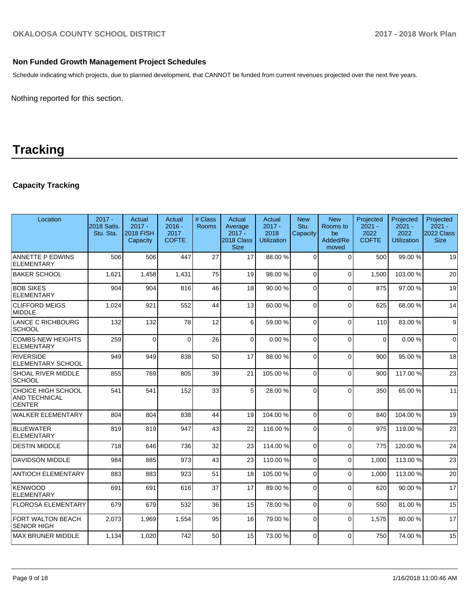### **Non Funded Growth Management Project Schedules**

Schedule indicating which projects, due to planned development, that CANNOT be funded from current revenues projected over the next five years.

Nothing reported for this section.

## **Tracking**

## **Capacity Tracking**

| Location                                                    | $2017 -$<br>2018 Satis.<br>Stu. Sta. | Actual<br>$2017 -$<br><b>2018 FISH</b><br>Capacity | Actual<br>$2016 -$<br>2017<br><b>COFTE</b> | # Class<br><b>Rooms</b> | Actual<br>Average<br>$2017 -$<br>2018 Class<br><b>Size</b> | Actual<br>$2017 -$<br>2018<br><b>Utilization</b> | <b>New</b><br>Stu.<br>Capacity | <b>New</b><br>Rooms to<br>be<br>Added/Re<br>moved | Projected<br>$2021 -$<br>2022<br><b>COFTE</b> | Projected<br>$2021 -$<br>2022<br><b>Utilization</b> | Projected<br>$2021 -$<br>2022 Class<br><b>Size</b> |
|-------------------------------------------------------------|--------------------------------------|----------------------------------------------------|--------------------------------------------|-------------------------|------------------------------------------------------------|--------------------------------------------------|--------------------------------|---------------------------------------------------|-----------------------------------------------|-----------------------------------------------------|----------------------------------------------------|
| <b>ANNETTE P EDWINS</b><br><b>ELEMENTARY</b>                | 506                                  | 506                                                | 447                                        | 27                      | 17                                                         | 88.00 %                                          | $\Omega$                       | $\Omega$                                          | 500                                           | 99.00 %                                             | 19                                                 |
| <b>BAKER SCHOOL</b>                                         | 1,621                                | 1,458                                              | 1,431                                      | 75                      | 19                                                         | 98.00 %                                          | $\Omega$                       | $\Omega$                                          | 1,500                                         | 103.00%                                             | 20                                                 |
| <b>BOB SIKES</b><br>ELEMENTARY                              | 904                                  | 904                                                | 816                                        | 46                      | 18                                                         | 90.00%                                           | $\Omega$                       | $\Omega$                                          | 875                                           | 97.00 %                                             | 19                                                 |
| <b>CLIFFORD MEIGS</b><br><b>MIDDLE</b>                      | 1,024                                | 921                                                | 552                                        | 44                      | 13                                                         | 60.00 %                                          | $\Omega$                       | $\Omega$                                          | 625                                           | 68.00 %                                             | 14                                                 |
| LANCE C RICHBOURG<br><b>SCHOOL</b>                          | 132                                  | 132                                                | 78                                         | 12                      | $6 \overline{6}$                                           | 59.00 %                                          | $\Omega$                       | $\Omega$                                          | 110                                           | 83.00 %                                             | $9\,$                                              |
| <b>COMBS-NEW HEIGHTS</b><br><b>ELEMENTARY</b>               | 259                                  | $\Omega$                                           | $\Omega$                                   | 26                      | $\Omega$                                                   | 0.00%                                            | $\Omega$                       | $\Omega$                                          | $\Omega$                                      | 0.00%                                               | $\Omega$                                           |
| RIVERSIDE<br><b>ELEMENTARY SCHOOL</b>                       | 949                                  | 949                                                | 838                                        | 50                      | 17                                                         | 88.00%                                           | $\Omega$                       | $\Omega$                                          | 900                                           | 95.00 %                                             | 18                                                 |
| <b>SHOAL RIVER MIDDLE</b><br> SCHOOL                        | 855                                  | 769                                                | 805                                        | 39                      | 21                                                         | 105.00%                                          | $\Omega$                       | $\Omega$                                          | 900                                           | 117.00 %                                            | 23                                                 |
| CHOICE HIGH SCHOOL<br><b>AND TECHNICAL</b><br><b>CENTER</b> | 541                                  | 541                                                | 152                                        | 33                      | 5 <sup>1</sup>                                             | 28.00 %                                          | $\Omega$                       | $\Omega$                                          | 350                                           | 65.00 %                                             | 11                                                 |
| <b>WALKER ELEMENTARY</b>                                    | 804                                  | 804                                                | 838                                        | 44                      | 19                                                         | 104.00%                                          | $\Omega$                       | $\Omega$                                          | 840                                           | 104.00%                                             | 19                                                 |
| BLUEWATER<br><b>ELEMENTARY</b>                              | 819                                  | 819                                                | 947                                        | 43                      | 22                                                         | 116.00%                                          | 0                              | $\Omega$                                          | 975                                           | 119.00 %                                            | 23                                                 |
| <b>DESTIN MIDDLE</b>                                        | 718                                  | 646                                                | 736                                        | 32                      | 23                                                         | 114.00 %                                         | $\Omega$                       | $\Omega$                                          | 775                                           | 120.00%                                             | 24                                                 |
| <b>DAVIDSON MIDDLE</b>                                      | 984                                  | 885                                                | 973                                        | 43                      | 23                                                         | 110.00%                                          | $\Omega$                       | $\Omega$                                          | 1.000                                         | 113.00 %                                            | 23                                                 |
| <b>ANTIOCH ELEMENTARY</b>                                   | 883                                  | 883                                                | 923                                        | 51                      | 18                                                         | 105.00%                                          | $\Omega$                       | $\Omega$                                          | 1,000                                         | 113.00 %                                            | 20                                                 |
| <b>KENWOOD</b><br><b>ELEMENTARY</b>                         | 691                                  | 691                                                | 616                                        | 37                      | 17                                                         | 89.00 %                                          | $\Omega$                       | $\Omega$                                          | 620                                           | 90.00 %                                             | 17                                                 |
| <b>FLOROSA ELEMENTARY</b>                                   | 679                                  | 679                                                | 532                                        | 36                      | 15                                                         | 78.00 %                                          | $\Omega$                       | $\Omega$                                          | 550                                           | 81.00%                                              | 15                                                 |
| FORT WALTON BEACH<br><b>SENIOR HIGH</b>                     | 2,073                                | 1,969                                              | 1,554                                      | 95                      | 16                                                         | 79.00 %                                          | $\Omega$                       | $\Omega$                                          | 1,575                                         | 80.00%                                              | 17                                                 |
| <b>MAX BRUNER MIDDLE</b>                                    | 1,134                                | 1,020                                              | 742                                        | 50                      | 15                                                         | 73.00 %                                          | $\Omega$                       | $\Omega$                                          | 750                                           | 74.00 %                                             | 15                                                 |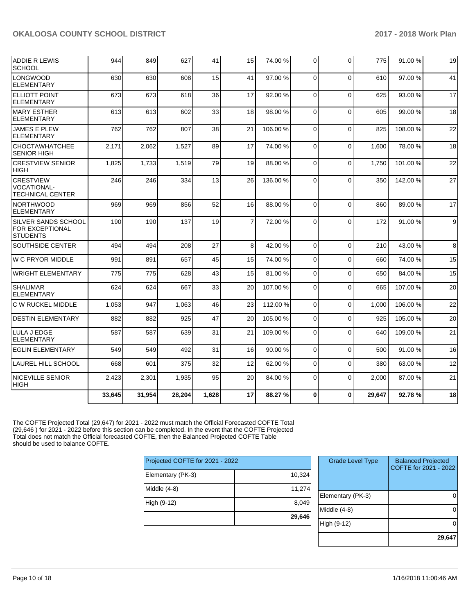| <b>ADDIE R LEWIS</b><br><b>SCHOOL</b>                             | 944    | 849    | 627    | 41    | 15             | 74.00 %  | $\Omega$    | $\Omega$ | 775    | 91.00 % | 19 |
|-------------------------------------------------------------------|--------|--------|--------|-------|----------------|----------|-------------|----------|--------|---------|----|
| <b>LONGWOOD</b><br><b>ELEMENTARY</b>                              | 630    | 630    | 608    | 15    | 41             | 97.00 %  | $\Omega$    | $\Omega$ | 610    | 97.00 % | 41 |
| <b>ELLIOTT POINT</b><br><b>ELEMENTARY</b>                         | 673    | 673    | 618    | 36    | 17             | 92.00%   | $\Omega$    | $\Omega$ | 625    | 93.00%  | 17 |
| <b>MARY ESTHER</b><br><b>ELEMENTARY</b>                           | 613    | 613    | 602    | 33    | 18             | 98.00 %  | $\Omega$    | $\Omega$ | 605    | 99.00 % | 18 |
| <b>JAMES E PLEW</b><br><b>ELEMENTARY</b>                          | 762    | 762    | 807    | 38    | 21             | 106.00%  | $\Omega$    | $\Omega$ | 825    | 108.00% | 22 |
| <b>CHOCTAWHATCHEE</b><br><b>SENIOR HIGH</b>                       | 2,171  | 2,062  | 1.527  | 89    | 17             | 74.00 %  | $\Omega$    | $\Omega$ | 1.600  | 78.00 % | 18 |
| <b>CRESTVIEW SENIOR</b><br><b>HIGH</b>                            | 1,825  | 1,733  | 1,519  | 79    | 19             | 88.00 %  | $\Omega$    | $\Omega$ | 1,750  | 101.00% | 22 |
| <b>CRESTVIEW</b><br><b>VOCATIONAL-</b><br><b>TECHNICAL CENTER</b> | 246    | 246    | 334    | 13    | 26             | 136.00%  | $\Omega$    | $\Omega$ | 350    | 142.00% | 27 |
| <b>NORTHWOOD</b><br><b>ELEMENTARY</b>                             | 969    | 969    | 856    | 52    | 16             | 88.00 %  | $\Omega$    | $\Omega$ | 860    | 89.00 % | 17 |
| SILVER SANDS SCHOOL<br><b>FOR EXCEPTIONAL</b><br><b>STUDENTS</b>  | 190    | 190    | 137    | 19    | $\overline{7}$ | 72.00 %  | $\Omega$    | $\Omega$ | 172    | 91.00 % | 9  |
| <b>SOUTHSIDE CENTER</b>                                           | 494    | 494    | 208    | 27    | 8              | 42.00%   | $\Omega$    | $\Omega$ | 210    | 43.00 % | 8  |
| <b>W C PRYOR MIDDLE</b>                                           | 991    | 891    | 657    | 45    | 15             | 74.00%   | $\Omega$    | $\Omega$ | 660    | 74.00 % | 15 |
| <b>WRIGHT ELEMENTARY</b>                                          | 775    | 775    | 628    | 43    | 15             | 81.00%   | 0           | $\Omega$ | 650    | 84.00 % | 15 |
| <b>SHALIMAR</b><br><b>ELEMENTARY</b>                              | 624    | 624    | 667    | 33    | 20             | 107.00%  | $\Omega$    | $\Omega$ | 665    | 107.00% | 20 |
| C W RUCKEL MIDDLE                                                 | 1,053  | 947    | 1,063  | 46    | 23             | 112.00 % | $\Omega$    | $\Omega$ | 1.000  | 106.00% | 22 |
| <b>DESTIN ELEMENTARY</b>                                          | 882    | 882    | 925    | 47    | 20             | 105.00%  | $\Omega$    | $\Omega$ | 925    | 105.00% | 20 |
| LULA J EDGE<br><b>ELEMENTARY</b>                                  | 587    | 587    | 639    | 31    | 21             | 109.00%  | $\Omega$    | $\Omega$ | 640    | 109.00% | 21 |
| <b>EGLIN ELEMENTARY</b>                                           | 549    | 549    | 492    | 31    | 16             | 90.00 %  | $\mathbf 0$ | $\Omega$ | 500    | 91.00 % | 16 |
| <b>LAUREL HILL SCHOOL</b>                                         | 668    | 601    | 375    | 32    | 12             | 62.00%   | 0           | $\Omega$ | 380    | 63.00 % | 12 |
| <b>NICEVILLE SENIOR</b><br><b>HIGH</b>                            | 2,423  | 2,301  | 1,935  | 95    | 20             | 84.00 %  | $\Omega$    | $\Omega$ | 2,000  | 87.00 % | 21 |
|                                                                   | 33,645 | 31,954 | 28,204 | 1,628 | 17             | 88.27 %  | $\bf{0}$    | $\Omega$ | 29,647 | 92.78%  | 18 |

The COFTE Projected Total (29,647) for 2021 - 2022 must match the Official Forecasted COFTE Total (29,646 ) for 2021 - 2022 before this section can be completed. In the event that the COFTE Projected Total does not match the Official forecasted COFTE, then the Balanced Projected COFTE Table should be used to balance COFTE.

| Projected COFTE for 2021 - 2022 |        |
|---------------------------------|--------|
| Elementary (PK-3)               | 10,324 |
| Middle (4-8)                    | 11,274 |
| High (9-12)                     | 8,049  |
|                                 | 29,646 |

| <b>Grade Level Type</b> | <b>Balanced Projected</b><br>COFTE for 2021 - 2022 |
|-------------------------|----------------------------------------------------|
| Elementary (PK-3)       |                                                    |
| Middle $(4-8)$          |                                                    |
| High (9-12)             |                                                    |
|                         | 29.647                                             |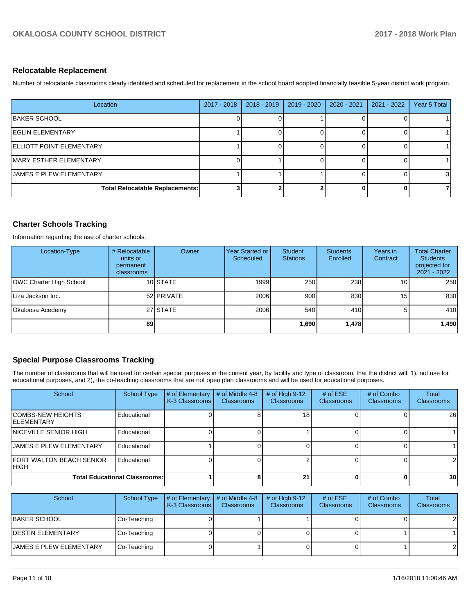#### **Relocatable Replacement**

Number of relocatable classrooms clearly identified and scheduled for replacement in the school board adopted financially feasible 5-year district work program.

| Location                               | 2017 - 2018 | $2018 - 2019$ | 2019 - 2020 | 2020 - 2021 | 2021 - 2022 | Year 5 Total |
|----------------------------------------|-------------|---------------|-------------|-------------|-------------|--------------|
| <b>BAKER SCHOOL</b>                    |             |               |             |             |             |              |
| <b>IEGLIN ELEMENTARY</b>               |             |               |             |             |             |              |
| ELLIOTT POINT ELEMENTARY               |             |               |             |             |             |              |
| MARY ESTHER ELEMENTARY                 |             |               |             |             |             |              |
| JAMES E PLEW ELEMENTARY                |             |               |             |             |             | 3            |
| <b>Total Relocatable Replacements:</b> |             |               |             |             |             |              |

#### **Charter Schools Tracking**

Information regarding the use of charter schools.

| Location-Type           | # Relocatable<br>units or<br>permanent<br>classrooms | Owner      | Year Started or<br>Scheduled | Student<br><b>Stations</b> | <b>Students</b><br>Enrolled | Years in<br>Contract | <b>Total Charter</b><br><b>Students</b><br>projected for<br>2021 - 2022 |
|-------------------------|------------------------------------------------------|------------|------------------------------|----------------------------|-----------------------------|----------------------|-------------------------------------------------------------------------|
| OWC Charter High School |                                                      | 10 STATE   | 1999                         | 250                        | 238                         | 10 <sub>1</sub>      | 250                                                                     |
| Liza Jackson Inc.       |                                                      | 52 PRIVATE | 2006                         | 900                        | 830                         | 15 <sup>1</sup>      | 830                                                                     |
| Okaloosa Acedemy        |                                                      | 27 STATE   | 2006                         | 540                        | 410 <b>1</b>                |                      | 410                                                                     |
|                         | 89                                                   |            |                              | 1,690                      | 1,478                       |                      | 1,490                                                                   |

#### **Special Purpose Classrooms Tracking**

The number of classrooms that will be used for certain special purposes in the current year, by facility and type of classroom, that the district will, 1), not use for educational purposes, and 2), the co-teaching classrooms that are not open plan classrooms and will be used for educational purposes.

| School                                         | School Type | # of Elementary<br>K-3 Classrooms | # of Middle 4-8<br><b>Classrooms</b> | # of High $9-12$<br>Classrooms | # of $ESE$<br><b>Classrooms</b> | # of Combo<br><b>Classrooms</b> | Total<br>Classrooms |
|------------------------------------------------|-------------|-----------------------------------|--------------------------------------|--------------------------------|---------------------------------|---------------------------------|---------------------|
| <b>COMBS-NEW HEIGHTS</b><br><b>IELEMENTARY</b> | Educational |                                   |                                      | 18                             |                                 |                                 | 26                  |
| INICEVILLE SENIOR HIGH                         | Educational |                                   |                                      |                                |                                 |                                 |                     |
| <b>JAMES E PLEW ELEMENTARY</b>                 | Educational |                                   |                                      |                                |                                 |                                 |                     |
| <b>FORT WALTON BEACH SENIOR</b><br> HIGH       | Educational |                                   |                                      |                                |                                 |                                 | $\overline{2}$      |
| <b>Total Educational Classrooms:</b>           |             |                                   | 21                                   |                                |                                 | 30 <sup>1</sup>                 |                     |

| School                         | School Type | # of Elementary $\vert$ # of Middle 4-8<br>K-3 Classrooms | <b>Classrooms</b> | # of High $9-12$<br><b>Classrooms</b> | # of $ESE$<br><b>Classrooms</b> | # of Combo<br><b>Classrooms</b> | Total<br><b>Classrooms</b> |
|--------------------------------|-------------|-----------------------------------------------------------|-------------------|---------------------------------------|---------------------------------|---------------------------------|----------------------------|
| <b>BAKER SCHOOL</b>            | Co-Teaching |                                                           |                   |                                       |                                 |                                 | 21                         |
| <b>DESTIN ELEMENTARY</b>       | Co-Teaching |                                                           |                   |                                       |                                 |                                 |                            |
| <b>JAMES E PLEW ELEMENTARY</b> | Co-Teaching |                                                           |                   |                                       |                                 |                                 | $\overline{2}$             |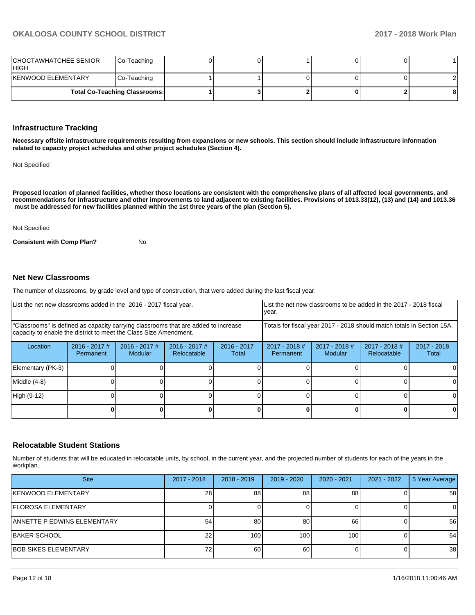| CHOCTAWHATCHEE SENIOR<br><b>HIGH</b> | Co-Teaching |  |   |  |
|--------------------------------------|-------------|--|---|--|
| KENWOOD ELEMENTARY                   | Co-Teaching |  |   |  |
| <b>Total Co-Teaching Classrooms:</b> |             |  | 8 |  |

#### **Infrastructure Tracking**

**Necessary offsite infrastructure requirements resulting from expansions or new schools. This section should include infrastructure information related to capacity project schedules and other project schedules (Section 4).** 

Not Specified

**Proposed location of planned facilities, whether those locations are consistent with the comprehensive plans of all affected local governments, and recommendations for infrastructure and other improvements to land adjacent to existing facilities. Provisions of 1013.33(12), (13) and (14) and 1013.36 must be addressed for new facilities planned within the 1st three years of the plan (Section 5).** 

#### Not Specified

**Consistent with Comp Plan?** No

#### **Net New Classrooms**

The number of classrooms, by grade level and type of construction, that were added during the last fiscal year.

| List the net new classrooms added in the 2016 - 2017 fiscal year. |                                                                                                                                                         |                                   |                                |                                                                        | List the net new classrooms to be added in the 2017 - 2018 fiscal<br>year. |                                   |                                |                        |
|-------------------------------------------------------------------|---------------------------------------------------------------------------------------------------------------------------------------------------------|-----------------------------------|--------------------------------|------------------------------------------------------------------------|----------------------------------------------------------------------------|-----------------------------------|--------------------------------|------------------------|
|                                                                   | "Classrooms" is defined as capacity carrying classrooms that are added to increase<br>capacity to enable the district to meet the Class Size Amendment. |                                   |                                | Totals for fiscal year 2017 - 2018 should match totals in Section 15A. |                                                                            |                                   |                                |                        |
| Location                                                          | $2016 - 2017$ #<br>Permanent                                                                                                                            | $2016 - 2017$ #<br><b>Modular</b> | $2016 - 2017$ #<br>Relocatable | $2016 - 2017$<br>Total                                                 | $2017 - 2018$ #<br>Permanent                                               | $2017 - 2018$ #<br><b>Modular</b> | $2017 - 2018$ #<br>Relocatable | $2017 - 2018$<br>Total |
| Elementary (PK-3)                                                 |                                                                                                                                                         |                                   |                                |                                                                        |                                                                            |                                   |                                |                        |
| Middle (4-8)                                                      |                                                                                                                                                         |                                   |                                |                                                                        |                                                                            |                                   |                                | ΩI                     |
| High (9-12)                                                       |                                                                                                                                                         |                                   |                                |                                                                        |                                                                            |                                   |                                | ΩI                     |
|                                                                   |                                                                                                                                                         |                                   |                                |                                                                        |                                                                            |                                   |                                |                        |

#### **Relocatable Student Stations**

Number of students that will be educated in relocatable units, by school, in the current year, and the projected number of students for each of the years in the workplan.

| <b>Site</b>                        | 2017 - 2018     | $2018 - 2019$ | $2019 - 2020$    | $2020 - 2021$    | 2021 - 2022 | 5 Year Average |
|------------------------------------|-----------------|---------------|------------------|------------------|-------------|----------------|
| <b>KENWOOD ELEMENTARY</b>          | 28 <sub>l</sub> | 88            | 88               | 88               |             | 58             |
| <b>IFLOROSA ELEMENTARY</b>         |                 |               |                  |                  |             | 0              |
| <b>ANNETTE P EDWINS ELEMENTARY</b> | 54              | 80            | 80               | 66               |             | 56             |
| <b>BAKER SCHOOL</b>                | 22              | 100           | 100 <sub>1</sub> | 100 <sub>1</sub> |             | 64             |
| <b>BOB SIKES ELEMENTARY</b>        |                 | 60            | 60               |                  |             | 38             |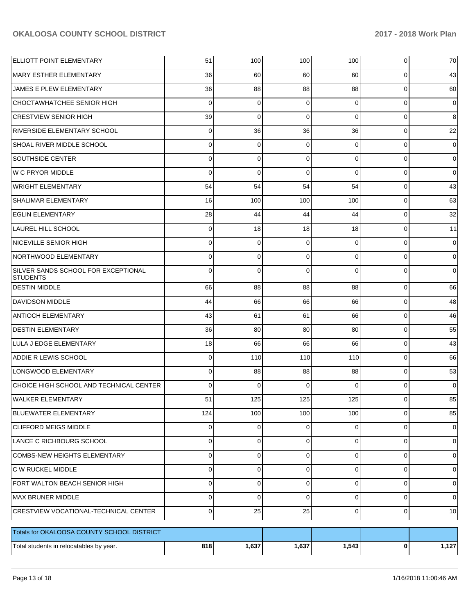| <b>ELLIOTT POINT ELEMENTARY</b>                        | 51             | 100         | 100      | 100            | 0              | 70          |
|--------------------------------------------------------|----------------|-------------|----------|----------------|----------------|-------------|
| MARY ESTHER ELEMENTARY                                 | 36             | 60          | 60       | 60             | 0              | 43          |
| JAMES E PLEW ELEMENTARY                                | 36             | 88          | 88       | 88             | 0              | 60          |
| CHOCTAWHATCHEE SENIOR HIGH                             | 0              | 0           | 0        | $\Omega$       | 0              | 0           |
| <b>CRESTVIEW SENIOR HIGH</b>                           | 39             | 0           | 0        | $\Omega$       | 0              | 8           |
| <b>RIVERSIDE ELEMENTARY SCHOOL</b>                     | 0              | 36          | 36       | 36             | 0              | 22          |
| SHOAL RIVER MIDDLE SCHOOL                              | 0              | 0           | 0        | $\Omega$       | 0              | 0           |
| SOUTHSIDE CENTER                                       | 0              | 0           | 0        | $\Omega$       | 0              | 0           |
| W C PRYOR MIDDLE                                       | 0              | 0           | 0        | $\Omega$       | 0              | 0           |
| <b>WRIGHT ELEMENTARY</b>                               | 54             | 54          | 54       | 54             | 0              | 43          |
| <b>SHALIMAR ELEMENTARY</b>                             | 16             | 100         | 100      | 100            | 0              | 63          |
| <b>EGLIN ELEMENTARY</b>                                | 28             | 44          | 44       | 44             | 0              | 32          |
| <b>LAUREL HILL SCHOOL</b>                              | 0              | 18          | 18       | 18             | 0              | 11          |
| NICEVILLE SENIOR HIGH                                  | 0              | 0           | 0        | $\Omega$       | 0              | 0           |
| NORTHWOOD ELEMENTARY                                   | 0              | 0           | 0        | $\Omega$       | 0              | 0           |
| SILVER SANDS SCHOOL FOR EXCEPTIONAL<br><b>STUDENTS</b> | 0              | 0           | 0        | $\Omega$       | 0              | 0           |
| <b>DESTIN MIDDLE</b>                                   | 66             | 88          | 88       | 88             | 0              | 66          |
| <b>DAVIDSON MIDDLE</b>                                 | 44             | 66          | 66       | 66             | 0              | 48          |
| <b>ANTIOCH ELEMENTARY</b>                              | 43             | 61          | 61       | 66             | 0              | 46          |
| <b>DESTIN ELEMENTARY</b>                               | 36             | 80          | 80       | 80             | 0              | 55          |
| LULA J EDGE ELEMENTARY                                 | 18             | 66          | 66       | 66             | 0              | 43          |
| <b>ADDIE R LEWIS SCHOOL</b>                            | 0              | 110         | 110      | 110            | 0              | 66          |
| LONGWOOD ELEMENTARY                                    | 0              | 88          | 88       | 88             | 0              | 53          |
| CHOICE HIGH SCHOOL AND TECHNICAL CENTER                | $\Omega$       | $\Omega$    | 0        | $\Omega$       | 0              | 0           |
| WALKER ELEMENTARY                                      | 51             | 125         | 125      | 125            | $\overline{0}$ | 85          |
| BLUEWATER ELEMENTARY                                   | 124            | 100         | 100      | 100            | 0              | 85          |
| <b>CLIFFORD MEIGS MIDDLE</b>                           | $\overline{0}$ | $\mathbf 0$ | 0        | $\overline{0}$ | $\mathbf 0$    | 0           |
| LANCE C RICHBOURG SCHOOL                               | 0              | $\mathbf 0$ | 0        | $\Omega$       | 0              | 0           |
| COMBS-NEW HEIGHTS ELEMENTARY                           | 0              | $\mathbf 0$ | 0        | $\Omega$       | 0              | 0           |
| C W RUCKEL MIDDLE                                      | $\Omega$       | $\mathbf 0$ | 0        | $\Omega$       | 0              | 0           |
| FORT WALTON BEACH SENIOR HIGH                          | 0              | $\mathbf 0$ | 0        | $\Omega$       | $\mathbf 0$    | 0           |
| MAX BRUNER MIDDLE                                      | 0              | $\mathbf 0$ | $\Omega$ | $\Omega$       | $\mathbf 0$    | $\mathbf 0$ |
| <b>CRESTVIEW VOCATIONAL-TECHNICAL CENTER</b>           | $\overline{0}$ | 25          | 25       | $\overline{0}$ | $\mathbf 0$    | 10          |
| Totals for OKALOOSA COUNTY SCHOOL DISTRICT             |                |             |          |                |                |             |
| Total students in relocatables by year.                | 818            | 1,637       | 1,637    | 1,543          | $\mathbf 0$    | 1,127       |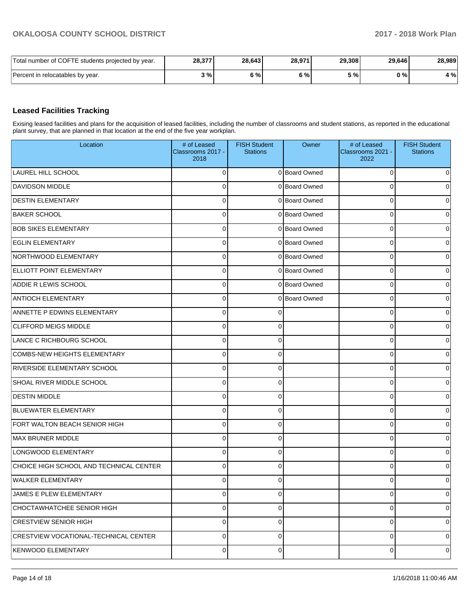| Total number of COFTE students projected by year. | 28,377 | 28.643 | 28,971 | 29,308 | 29.646 | 28,989 |
|---------------------------------------------------|--------|--------|--------|--------|--------|--------|
| Percent in relocatables by year.                  | 3%1    | 6%     | 5%     | 5%1    | 0%     | 4 %    |

#### **Leased Facilities Tracking**

Exising leased facilities and plans for the acquisition of leased facilities, including the number of classrooms and student stations, as reported in the educational plant survey, that are planned in that location at the end of the five year workplan.

| Location                                     | # of Leased<br>Classrooms 2017 -<br>2018 | <b>FISH Student</b><br><b>Stations</b> | Owner         | # of Leased<br>Classrooms 2021 -<br>2022 | <b>FISH Student</b><br><b>Stations</b> |
|----------------------------------------------|------------------------------------------|----------------------------------------|---------------|------------------------------------------|----------------------------------------|
| <b>LAUREL HILL SCHOOL</b>                    | $\Omega$                                 |                                        | 0 Board Owned | 0                                        | 0                                      |
| <b>DAVIDSON MIDDLE</b>                       | $\Omega$                                 |                                        | 0 Board Owned | 0                                        | 0                                      |
| <b>DESTIN ELEMENTARY</b>                     | $\mathbf 0$                              |                                        | 0 Board Owned | 0                                        | 0                                      |
| <b>BAKER SCHOOL</b>                          | $\mathbf 0$                              |                                        | 0 Board Owned | 0                                        | 0                                      |
| <b>BOB SIKES ELEMENTARY</b>                  | $\mathbf 0$                              |                                        | 0 Board Owned | 0                                        | 0                                      |
| <b>EGLIN ELEMENTARY</b>                      | $\mathbf 0$                              |                                        | 0 Board Owned | 0                                        | 0                                      |
| NORTHWOOD ELEMENTARY                         | $\mathbf 0$                              |                                        | 0 Board Owned | 0                                        | 0                                      |
| <b>ELLIOTT POINT ELEMENTARY</b>              | $\mathbf 0$                              |                                        | 0 Board Owned | 0                                        | 0                                      |
| <b>ADDIE R LEWIS SCHOOL</b>                  | $\mathbf 0$                              |                                        | 0 Board Owned | 0                                        | 0                                      |
| <b>ANTIOCH ELEMENTARY</b>                    | $\mathbf 0$                              |                                        | 0 Board Owned | 0                                        | 0                                      |
| <b>ANNETTE P EDWINS ELEMENTARY</b>           | $\Omega$                                 |                                        |               | 0                                        | 0                                      |
| <b>CLIFFORD MEIGS MIDDLE</b>                 | $\Omega$                                 | ∩                                      |               | 0                                        | 0                                      |
| LANCE C RICHBOURG SCHOOL                     | $\Omega$                                 | ſ                                      |               | 0                                        | 0                                      |
| COMBS-NEW HEIGHTS ELEMENTARY                 | $\mathbf 0$                              | ∩                                      |               | 0                                        | 0                                      |
| <b>RIVERSIDE ELEMENTARY SCHOOL</b>           | $\Omega$                                 | ∩                                      |               | 0                                        | 0                                      |
| SHOAL RIVER MIDDLE SCHOOL                    | $\mathbf 0$                              | ∩                                      |               | 0                                        | 0                                      |
| <b>DESTIN MIDDLE</b>                         | $\Omega$                                 | ∩                                      |               | 0                                        | 0                                      |
| BLUEWATER ELEMENTARY                         | $\mathbf 0$                              | $\Omega$                               |               | 0                                        | 0                                      |
| <b>FORT WALTON BEACH SENIOR HIGH</b>         | $\Omega$                                 | ∩                                      |               | 0                                        | 0                                      |
| <b>MAX BRUNER MIDDLE</b>                     | $\Omega$                                 | ∩                                      |               | 0                                        | 0                                      |
| LONGWOOD ELEMENTARY                          | $\Omega$                                 | ∩                                      |               | O                                        | 0                                      |
| CHOICE HIGH SCHOOL AND TECHNICAL CENTER      | $\Omega$                                 | ∩                                      |               | 0                                        | 0                                      |
| <b>WALKER ELEMENTARY</b>                     | 0                                        |                                        |               | 0                                        | 0                                      |
| JAMES E PLEW ELEMENTARY                      | $\pmb{0}$                                | $\Omega$                               |               | 0                                        | 0                                      |
| CHOCTAWHATCHEE SENIOR HIGH                   | $\pmb{0}$                                | 0                                      |               | 0                                        | $\overline{0}$                         |
| <b>CRESTVIEW SENIOR HIGH</b>                 | $\pmb{0}$                                | $\Omega$                               |               | 0                                        | $\overline{0}$                         |
| <b>CRESTVIEW VOCATIONAL-TECHNICAL CENTER</b> | $\mathbf 0$                              | 0                                      |               | 0                                        | $\overline{0}$                         |
| <b>KENWOOD ELEMENTARY</b>                    | $\pmb{0}$                                | 0                                      |               | 0                                        | $\overline{0}$                         |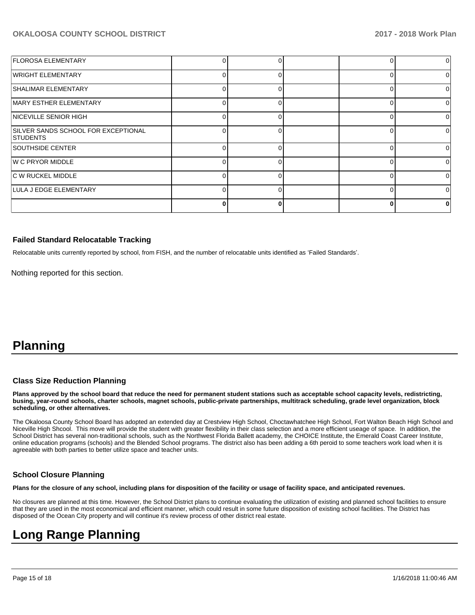| <b>FLOROSA ELEMENTARY</b>                               |    |  |          |   |
|---------------------------------------------------------|----|--|----------|---|
| WRIGHT ELEMENTARY                                       | U  |  | $\Omega$ | ∩ |
| <b>SHALIMAR ELEMENTARY</b>                              |    |  | $\Omega$ |   |
| MARY ESTHER ELEMENTARY                                  |    |  |          |   |
| NICEVILLE SENIOR HIGH                                   |    |  | $\Omega$ |   |
| SILVER SANDS SCHOOL FOR EXCEPTIONAL<br><b>ISTUDENTS</b> |    |  |          |   |
| SOUTHSIDE CENTER                                        |    |  | 0        |   |
| W C PRYOR MIDDLE                                        |    |  |          |   |
| C W RUCKEL MIDDLE                                       |    |  | $\Omega$ | ∩ |
| LULA J EDGE ELEMENTARY                                  | U. |  | $\Omega$ |   |
|                                                         |    |  |          |   |

#### **Failed Standard Relocatable Tracking**

Relocatable units currently reported by school, from FISH, and the number of relocatable units identified as 'Failed Standards'.

Nothing reported for this section.

## **Planning**

#### **Class Size Reduction Planning**

**Plans approved by the school board that reduce the need for permanent student stations such as acceptable school capacity levels, redistricting, busing, year-round schools, charter schools, magnet schools, public-private partnerships, multitrack scheduling, grade level organization, block scheduling, or other alternatives.**

The Okaloosa County School Board has adopted an extended day at Crestview High School, Choctawhatchee High School, Fort Walton Beach High School and Niceville High Shcool. This move will provide the student with greater flexibility in their class selection and a more efficient useage of space. In addition, the School District has several non-traditional schools, such as the Northwest Florida Ballett academy, the CHOICE Institute, the Emerald Coast Career Institute, online education programs (schools) and the Blended School programs. The district also has been adding a 6th peroid to some teachers work load when it is agreeable with both parties to better utilize space and teacher units.

#### **School Closure Planning**

**Plans for the closure of any school, including plans for disposition of the facility or usage of facility space, and anticipated revenues.** 

No closures are planned at this time. However, the School District plans to continue evaluating the utilization of existing and planned school facilities to ensure that they are used in the most economical and efficient manner, which could result in some future disposition of existing school facilities. The District has disposed of the Ocean City property and will continue it's review process of other district real estate.

## **Long Range Planning**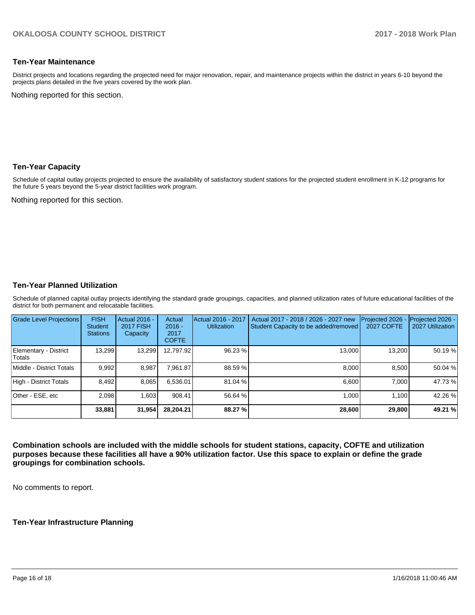#### **Ten-Year Maintenance**

District projects and locations regarding the projected need for major renovation, repair, and maintenance projects within the district in years 6-10 beyond the projects plans detailed in the five years covered by the work plan.

Nothing reported for this section.

#### **Ten-Year Capacity**

Schedule of capital outlay projects projected to ensure the availability of satisfactory student stations for the projected student enrollment in K-12 programs for the future 5 years beyond the 5-year district facilities work program.

Nothing reported for this section.

#### **Ten-Year Planned Utilization**

Schedule of planned capital outlay projects identifying the standard grade groupings, capacities, and planned utilization rates of future educational facilities of the district for both permanent and relocatable facilities.

| <b>Grade Level Projections</b>  | <b>FISH</b><br><b>Student</b><br><b>Stations</b> | Actual 2016 -<br><b>2017 FISH</b><br>Capacity | Actual<br>$2016 -$<br>2017<br><b>COFTE</b> | Actual 2016 - 2017<br><b>Utilization</b> | Actual 2017 - 2018 / 2026 - 2027 new<br>Student Capacity to be added/removed | Projected 2026 -<br><b>2027 COFTE</b> | Projected 2026 -<br>2027 Utilization |
|---------------------------------|--------------------------------------------------|-----------------------------------------------|--------------------------------------------|------------------------------------------|------------------------------------------------------------------------------|---------------------------------------|--------------------------------------|
| Elementary - District<br>Totals | 13,299                                           | 13,299                                        | 12,797.92                                  | 96.23 %                                  | 13.000                                                                       | 13,200                                | 50.19 %                              |
| Middle - District Totals        | 9.992                                            | 8.987                                         | 7.961.87                                   | 88.59 %                                  | 8.000                                                                        | 8.500                                 | 50.04 %                              |
| High - District Totals          | 8.492                                            | 8,065                                         | 6.536.01                                   | 81.04 %                                  | 6.600                                                                        | 7.000                                 | 47.73 %                              |
| Other - ESE, etc                | 2.098                                            | 1.603                                         | 908.41                                     | 56.64 %                                  | 1.000                                                                        | 1.100                                 | 42.26 %                              |
|                                 | 33,881                                           | 31,954                                        | 28.204.21                                  | 88.27 %                                  | 28,600                                                                       | 29,800                                | 49.21 %                              |

**Combination schools are included with the middle schools for student stations, capacity, COFTE and utilization purposes because these facilities all have a 90% utilization factor. Use this space to explain or define the grade groupings for combination schools.** 

No comments to report.

#### **Ten-Year Infrastructure Planning**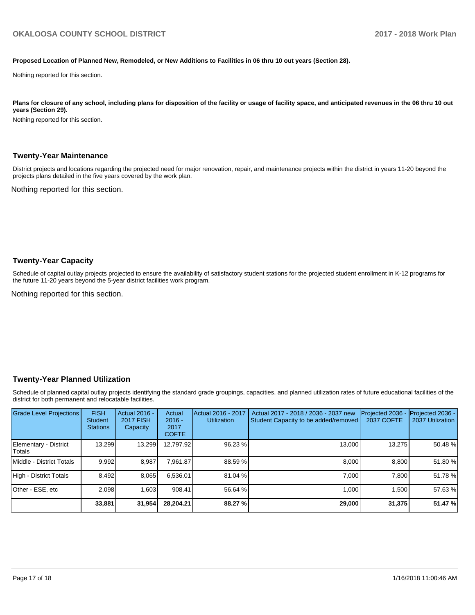#### **Proposed Location of Planned New, Remodeled, or New Additions to Facilities in 06 thru 10 out years (Section 28).**

Nothing reported for this section.

Plans for closure of any school, including plans for disposition of the facility or usage of facility space, and anticipated revenues in the 06 thru 10 out **years (Section 29).**

Nothing reported for this section.

#### **Twenty-Year Maintenance**

District projects and locations regarding the projected need for major renovation, repair, and maintenance projects within the district in years 11-20 beyond the projects plans detailed in the five years covered by the work plan.

Nothing reported for this section.

#### **Twenty-Year Capacity**

Schedule of capital outlay projects projected to ensure the availability of satisfactory student stations for the projected student enrollment in K-12 programs for the future 11-20 years beyond the 5-year district facilities work program.

Nothing reported for this section.

#### **Twenty-Year Planned Utilization**

Schedule of planned capital outlay projects identifying the standard grade groupings, capacities, and planned utilization rates of future educational facilities of the district for both permanent and relocatable facilities.

| <b>Grade Level Projections</b>   | <b>FISH</b><br><b>Student</b><br><b>Stations</b> | <b>Actual 2016 -</b><br><b>2017 FISH</b><br>Capacity | Actual<br>$2016 -$<br>2017<br><b>COFTE</b> | Actual 2016 - 2017<br><b>Utilization</b> | Actual 2017 - 2018 / 2036 - 2037 new<br>Student Capacity to be added/removed | Projected 2036<br><b>2037 COFTE</b> | <b>Projected 2036 -</b><br>2037 Utilization |
|----------------------------------|--------------------------------------------------|------------------------------------------------------|--------------------------------------------|------------------------------------------|------------------------------------------------------------------------------|-------------------------------------|---------------------------------------------|
| Elementary - District<br> Totals | 13.299                                           | 13,299                                               | 12.797.92                                  | 96.23 %                                  | 13,000                                                                       | 13,275                              | 50.48 %                                     |
| Middle - District Totals         | 9.992                                            | 8.987                                                | 7.961.87                                   | 88.59 %                                  | 8.000                                                                        | 8.800                               | 51.80%                                      |
| High - District Totals           | 8.492                                            | 8.065                                                | 6.536.01                                   | 81.04 %                                  | 7.000                                                                        | 7.800                               | 51.78%                                      |
| Other - ESE, etc                 | 2,098                                            | 1.603                                                | 908.41                                     | 56.64 %                                  | 1,000                                                                        | 1.500                               | 57.63 %                                     |
|                                  | 33,881                                           | 31,954                                               | 28,204.21                                  | 88.27 %                                  | 29,000                                                                       | 31,375                              | 51.47 %                                     |